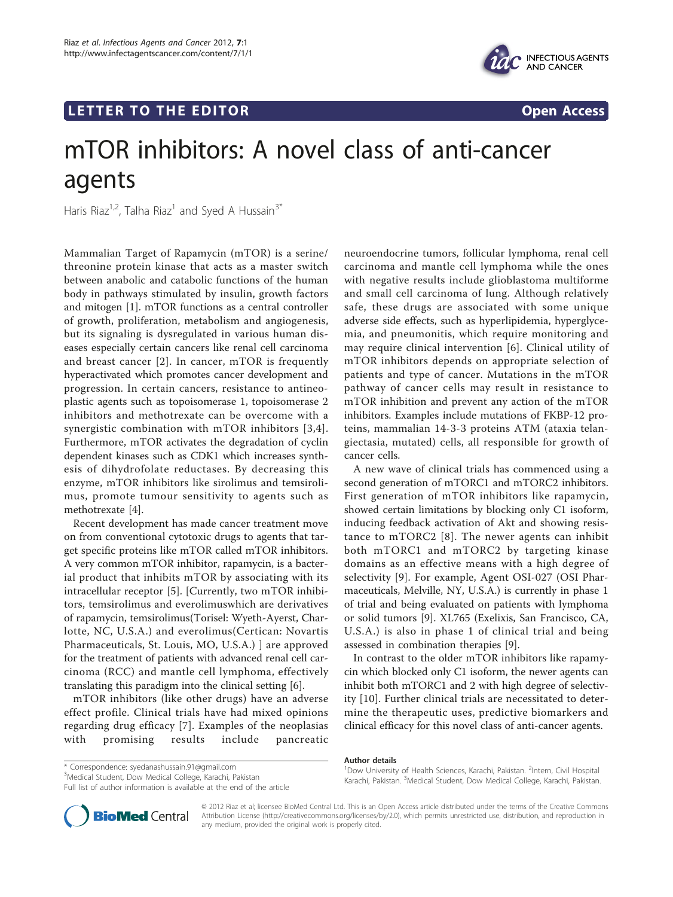# LETTER TO THE EDITOR **CONSIDERING A CONSIDERATION**



# mTOR inhibitors: A novel class of anti-cancer agents

Haris Riaz<sup>1,2</sup>, Talha Riaz<sup>1</sup> and Syed A Hussain<sup>3\*</sup>

Mammalian Target of Rapamycin (mTOR) is a serine/ threonine protein kinase that acts as a master switch between anabolic and catabolic functions of the human body in pathways stimulated by insulin, growth factors and mitogen [[1\]](#page-1-0). mTOR functions as a central controller of growth, proliferation, metabolism and angiogenesis, but its signaling is dysregulated in various human diseases especially certain cancers like renal cell carcinoma and breast cancer [[2](#page-1-0)]. In cancer, mTOR is frequently hyperactivated which promotes cancer development and progression. In certain cancers, resistance to antineoplastic agents such as topoisomerase 1, topoisomerase 2 inhibitors and methotrexate can be overcome with a synergistic combination with mTOR inhibitors [[3](#page-1-0),[4\]](#page-1-0). Furthermore, mTOR activates the degradation of cyclin dependent kinases such as CDK1 which increases synthesis of dihydrofolate reductases. By decreasing this enzyme, mTOR inhibitors like sirolimus and temsirolimus, promote tumour sensitivity to agents such as methotrexate [\[4\]](#page-1-0).

Recent development has made cancer treatment move on from conventional cytotoxic drugs to agents that target specific proteins like mTOR called mTOR inhibitors. A very common mTOR inhibitor, rapamycin, is a bacterial product that inhibits mTOR by associating with its intracellular receptor [[5\]](#page-1-0). [Currently, two mTOR inhibitors, temsirolimus and everolimuswhich are derivatives of rapamycin, temsirolimus(Torisel: Wyeth-Ayerst, Charlotte, NC, U.S.A.) and everolimus(Certican: Novartis Pharmaceuticals, St. Louis, MO, U.S.A.) ] are approved for the treatment of patients with advanced renal cell carcinoma (RCC) and mantle cell lymphoma, effectively translating this paradigm into the clinical setting [[6](#page-1-0)].

mTOR inhibitors (like other drugs) have an adverse effect profile. Clinical trials have had mixed opinions regarding drug efficacy [\[7\]](#page-1-0). Examples of the neoplasias with promising results include pancreatic

neuroendocrine tumors, follicular lymphoma, renal cell carcinoma and mantle cell lymphoma while the ones with negative results include glioblastoma multiforme and small cell carcinoma of lung. Although relatively safe, these drugs are associated with some unique adverse side effects, such as hyperlipidemia, hyperglycemia, and pneumonitis, which require monitoring and may require clinical intervention [[6\]](#page-1-0). Clinical utility of mTOR inhibitors depends on appropriate selection of patients and type of cancer. Mutations in the mTOR pathway of cancer cells may result in resistance to mTOR inhibition and prevent any action of the mTOR inhibitors. Examples include mutations of FKBP-12 proteins, mammalian 14-3-3 proteins ATM (ataxia telangiectasia, mutated) cells, all responsible for growth of cancer cells.

A new wave of clinical trials has commenced using a second generation of mTORC1 and mTORC2 inhibitors. First generation of mTOR inhibitors like rapamycin, showed certain limitations by blocking only C1 isoform, inducing feedback activation of Akt and showing resistance to mTORC2 [[8\]](#page-1-0). The newer agents can inhibit both mTORC1 and mTORC2 by targeting kinase domains as an effective means with a high degree of selectivity [[9\]](#page-1-0). For example, Agent OSI-027 (OSI Pharmaceuticals, Melville, NY, U.S.A.) is currently in phase 1 of trial and being evaluated on patients with lymphoma or solid tumors [[9\]](#page-1-0). XL765 (Exelixis, San Francisco, CA, U.S.A.) is also in phase 1 of clinical trial and being assessed in combination therapies [\[9\]](#page-1-0).

In contrast to the older mTOR inhibitors like rapamycin which blocked only C1 isoform, the newer agents can inhibit both mTORC1 and 2 with high degree of selectivity [[10\]](#page-1-0). Further clinical trials are necessitated to determine the therapeutic uses, predictive biomarkers and clinical efficacy for this novel class of anti-cancer agents.

#### Author details <sup>1</sup>Dow University of Health Sciences, Karachi, Pakistan. <sup>2</sup>Intern, Civil Hospital

Full list of author information is available at the end of the article



Karachi, Pakistan. <sup>3</sup>Medical Student, Dow Medical College, Karachi, Pakistan

© 2012 Riaz et al; licensee BioMed Central Ltd. This is an Open Access article distributed under the terms of the Creative Commons Attribution License [\(http://creativecommons.org/licenses/by/2.0](http://creativecommons.org/licenses/by/2.0)), which permits unrestricted use, distribution, and reproduction in any medium, provided the original work is properly cited.

<sup>\*</sup> Correspondence: [syedanashussain.91@gmail.com](mailto:syedanashussain.91@gmail.com)

<sup>3</sup> Medical Student, Dow Medical College, Karachi, Pakistan